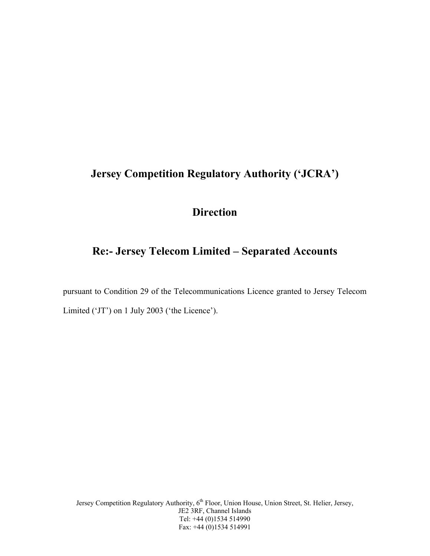# **Jersey Competition Regulatory Authority ('JCRA')**

# **Direction**

# **Re:- Jersey Telecom Limited – Separated Accounts**

pursuant to Condition 29 of the Telecommunications Licence granted to Jersey Telecom Limited ('JT') on 1 July 2003 ('the Licence').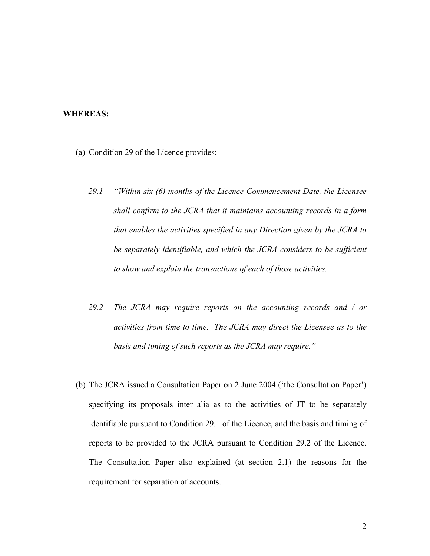#### **WHEREAS:**

- (a) Condition 29 of the Licence provides:
	- *29.1 "Within six (6) months of the Licence Commencement Date, the Licensee shall confirm to the JCRA that it maintains accounting records in a form that enables the activities specified in any Direction given by the JCRA to be separately identifiable, and which the JCRA considers to be sufficient to show and explain the transactions of each of those activities.*
	- *29.2 The JCRA may require reports on the accounting records and / or activities from time to time. The JCRA may direct the Licensee as to the basis and timing of such reports as the JCRA may require."*
- (b) The JCRA issued a Consultation Paper on 2 June 2004 ('the Consultation Paper') specifying its proposals inter alia as to the activities of JT to be separately identifiable pursuant to Condition 29.1 of the Licence, and the basis and timing of reports to be provided to the JCRA pursuant to Condition 29.2 of the Licence. The Consultation Paper also explained (at section 2.1) the reasons for the requirement for separation of accounts.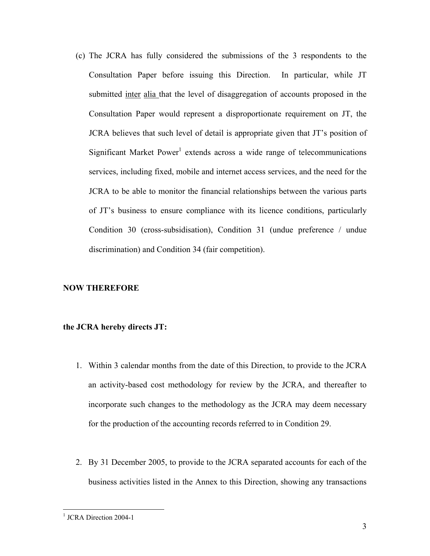(c) The JCRA has fully considered the submissions of the 3 respondents to the Consultation Paper before issuing this Direction. In particular, while JT submitted inter alia that the level of disaggregation of accounts proposed in the Consultation Paper would represent a disproportionate requirement on JT, the JCRA believes that such level of detail is appropriate given that JT's position of Significant Market Power<sup>1</sup> extends across a wide range of telecommunications services, including fixed, mobile and internet access services, and the need for the JCRA to be able to monitor the financial relationships between the various parts of JT's business to ensure compliance with its licence conditions, particularly Condition 30 (cross-subsidisation), Condition 31 (undue preference / undue discrimination) and Condition 34 (fair competition).

### **NOW THEREFORE**

#### **the JCRA hereby directs JT:**

- 1. Within 3 calendar months from the date of this Direction, to provide to the JCRA an activity-based cost methodology for review by the JCRA, and thereafter to incorporate such changes to the methodology as the JCRA may deem necessary for the production of the accounting records referred to in Condition 29.
- 2. By 31 December 2005, to provide to the JCRA separated accounts for each of the business activities listed in the Annex to this Direction, showing any transactions

 $\overline{a}$ 

<sup>&</sup>lt;sup>1</sup> JCRA Direction 2004-1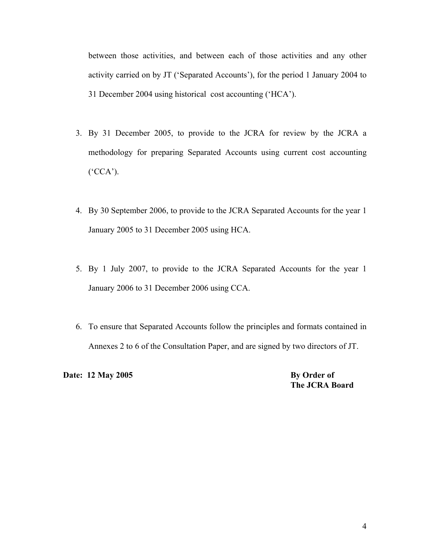between those activities, and between each of those activities and any other activity carried on by JT ('Separated Accounts'), for the period 1 January 2004 to 31 December 2004 using historical cost accounting ('HCA').

- 3. By 31 December 2005, to provide to the JCRA for review by the JCRA a methodology for preparing Separated Accounts using current cost accounting ('CCA').
- 4. By 30 September 2006, to provide to the JCRA Separated Accounts for the year 1 January 2005 to 31 December 2005 using HCA.
- 5. By 1 July 2007, to provide to the JCRA Separated Accounts for the year 1 January 2006 to 31 December 2006 using CCA.
- 6. To ensure that Separated Accounts follow the principles and formats contained in Annexes 2 to 6 of the Consultation Paper, and are signed by two directors of JT.

**Date:** 12 May 2005 By Order of

 **The JCRA Board**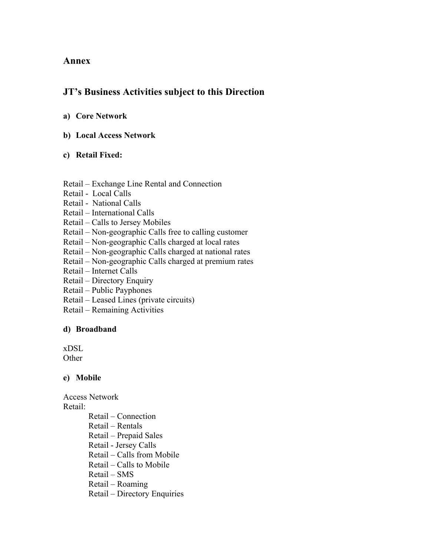## **Annex**

## **JT's Business Activities subject to this Direction**

## **a) Core Network**

**b) Local Access Network** 

## **c) Retail Fixed:**

#### Retail – Exchange Line Rental and Connection

- Retail Local Calls
- Retail National Calls
- Retail International Calls
- Retail Calls to Jersey Mobiles
- Retail Non-geographic Calls free to calling customer
- Retail Non-geographic Calls charged at local rates
- Retail Non-geographic Calls charged at national rates
- Retail Non-geographic Calls charged at premium rates
- Retail Internet Calls
- Retail Directory Enquiry
- Retail Public Payphones
- Retail Leased Lines (private circuits)
- Retail Remaining Activities

### **d) Broadband**

xDSL

**Other** 

### **e) Mobile**

Access Network Retail:

Retail – Connection Retail – Rentals Retail – Prepaid Sales Retail - Jersey Calls Retail – Calls from Mobile Retail – Calls to Mobile Retail – SMS Retail – Roaming Retail – Directory Enquiries